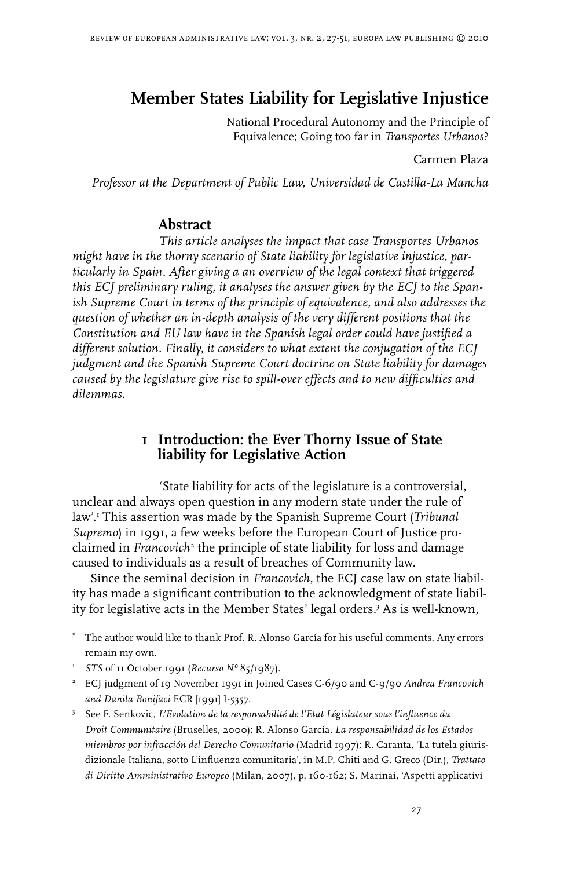# **Member States Liability for Legislative Injustice**

 National Procedural Autonomy and the Principle of Equivalence; Going too far in *Transportes Urbanos*?

Carmen Plaza

*Professor at the Department of Public Law, Universidad de Castilla-La Mancha*

## **Abstract**

*This article analyses the impact that case Transportes Urbanos might have in the thorny scenario of State liability for legislative injustice, particularly in Spain. After giving a an overview of the legal context that triggered this ECJ preliminary ruling, it analyses the answer given by the ECJ to the Spanish Supreme Court in terms of the principle of equivalence, and also addresses the question of whether an in-depth analysis of the very different positions that the Constitution and EU law have in the Spanish legal order could have justified a different solution. Finally, it considers to what extent the conjugation of the ECJ judgment and the Spanish Supreme Court doctrine on State liability for damages caused by the legislature give rise to spill-over effects and to new difficulties and dilemmas.* 

## **1 Introduction: the Ever Thorny Issue of State liability for Legislative Action**

'State liability for acts of the legislature is a controversial, unclear and always open question in any modern state under the rule of law'. This assertion was made by the Spanish Supreme Court (*Tribunal Supremo*) in 1991, a few weeks before the European Court of Justice proclaimed in *Francovich* the principle of state liability for loss and damage caused to individuals as a result of breaches of Community law.

Since the seminal decision in *Francovich*, the ECJ case law on state liability has made a significant contribution to the acknowledgment of state liability for legislative acts in the Member States' legal orders. As is well-known,

<sup>\*</sup> The author would like to thank Prof. R. Alonso García for his useful comments. Any errors remain my own.

 *STS* of 11 October 1991 (*Recurso Nº* 85/1987).

 ECJ judgment of 19 November 1991 in Joined Cases C-6/90 and C-9/90 *Andrea Francovich and Danila Bonifaci* ECR [1991] I-5357.

 See F. Senkovic, *L'Evolution de la responsabilité de l'Etat Législateur sous l'influence du Droit Communitaire* (Bruselles, 2000); R. Alonso García, *La responsabilidad de los Estados miembros por infracción del Derecho Comunitario* (Madrid 1997); R. Caranta, 'La tutela giurisdizionale Italiana, sotto L'influenza comunitaria', in M.P. Chiti and G. Greco (Dir.), *Trattato di Diritto Amministrativo Europeo* (Milan, 2007), p. 160-162; S. Marinai, 'Aspetti applicativi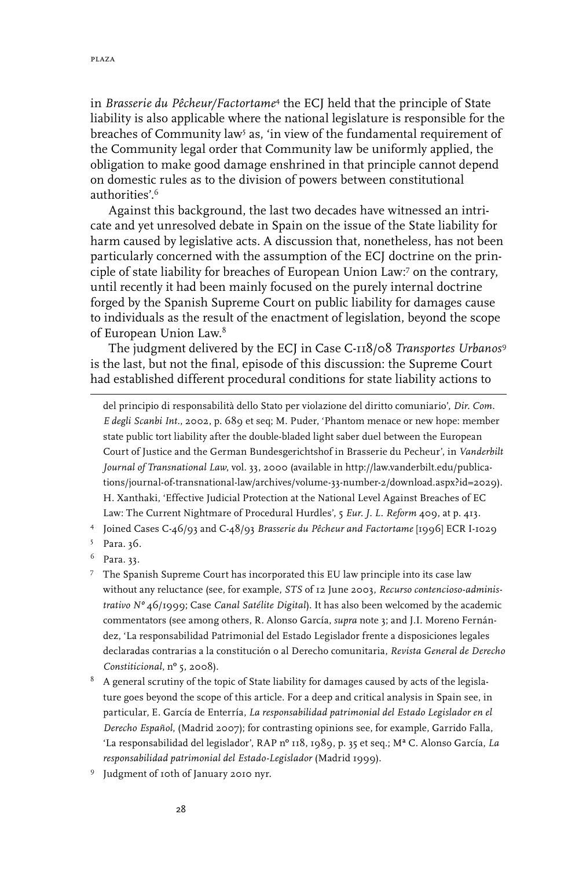in *Brasserie du Pêcheur/Factortame* the ECJ held that the principle of State liability is also applicable where the national legislature is responsible for the breaches of Community law<sup>5</sup> as, 'in view of the fundamental requirement of the Community legal order that Community law be uniformly applied, the obligation to make good damage enshrined in that principle cannot depend on domestic rules as to the division of powers between constitutional authorities'.

Against this background, the last two decades have witnessed an intricate and yet unresolved debate in Spain on the issue of the State liability for harm caused by legislative acts. A discussion that, nonetheless, has not been particularly concerned with the assumption of the ECJ doctrine on the principle of state liability for breaches of European Union Law:<sup>7</sup> on the contrary, until recently it had been mainly focused on the purely internal doctrine forged by the Spanish Supreme Court on public liability for damages cause to individuals as the result of the enactment of legislation, beyond the scope of European Union Law.

The judgment delivered by the ECJ in Case C-118/08 *Transportes Urbanos* is the last, but not the final, episode of this discussion: the Supreme Court had established different procedural conditions for state liability actions to

del principio di responsabilità dello Stato per violazione del diritto comuniario', *Dir. Com. E degli Scanbi Int*., 2002, p. 689 et seq; M. Puder, 'Phantom menace or new hope: member state public tort liability after the double-bladed light saber duel between the European Court of Justice and the German Bundesgerichtshof in Brasserie du Pecheur', in *Vanderbilt Journal of Transnational Law*, vol. 33, 2000 (available in http://law.vanderbilt.edu/publications/journal-of-transnational-law/archives/volume-33-number-2/download.aspx?id=2029). H. Xanthaki, 'Effective Judicial Protection at the National Level Against Breaches of EC Law: The Current Nightmare of Procedural Hurdles', 5 *Eur. J. L. Reform* 409, at p. 413.

Joined Cases C-46/93 and C-48/93 *Brasserie du Pêcheur and Factortame* [1996] ECR I-1029

- Para. 36.
- <sup>6</sup> Para. 33.
- <sup>7</sup> The Spanish Supreme Court has incorporated this EU law principle into its case law without any reluctance (see, for example, *STS* of 12 June 2003, *Recurso contencioso-administrativo Nº* 46/1999; Case *Canal Satélite Digital*). It has also been welcomed by the academic commentators (see among others, R. Alonso García, *supra* note 3; and J.I. Moreno Fernández, 'La responsabilidad Patrimonial del Estado Legislador frente a disposiciones legales declaradas contrarias a la constitución o al Derecho comunitaria, *Revista General de Derecho Constiticional*, nº 5, 2008).
- <sup>8</sup> A general scrutiny of the topic of State liability for damages caused by acts of the legislature goes beyond the scope of this article. For a deep and critical analysis in Spain see, in particular, E. García de Enterría, *La responsabilidad patrimonial del Estado Legislador en el Derecho Español*, (Madrid 2007); for contrasting opinions see, for example, Garrido Falla, 'La responsabilidad del legislador', RAP nº 118, 1989, p. 35 et seq.; Mª C. Alonso García, *La responsabilidad patrimonial del Estado-Legislador* (Madrid 1999).
- <sup>9</sup> Judgment of 10th of January 2010 nyr.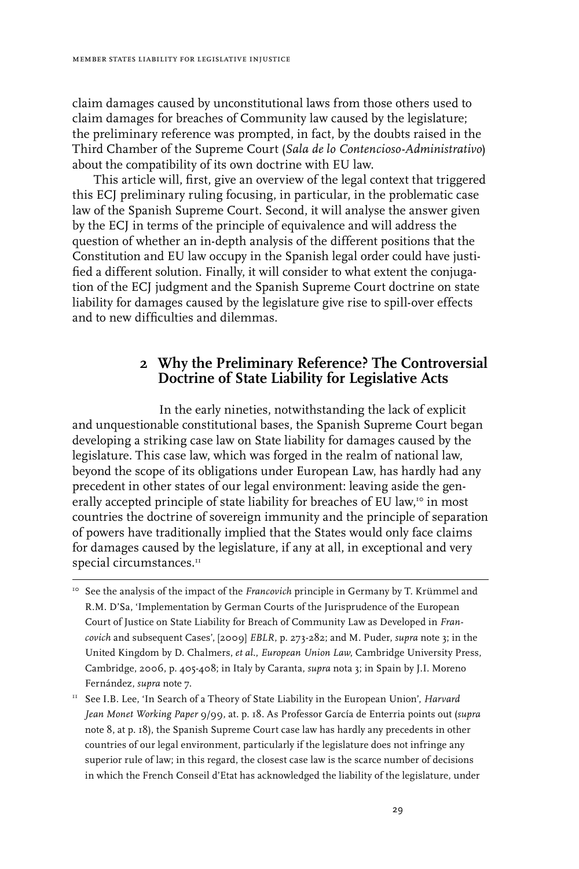claim damages caused by unconstitutional laws from those others used to claim damages for breaches of Community law caused by the legislature; the preliminary reference was prompted, in fact, by the doubts raised in the Third Chamber of the Supreme Court (*Sala de lo Contencioso-Administrativo*) about the compatibility of its own doctrine with EU law.

 This article will, first, give an overview of the legal context that triggered this ECJ preliminary ruling focusing, in particular, in the problematic case law of the Spanish Supreme Court. Second, it will analyse the answer given by the ECJ in terms of the principle of equivalence and will address the question of whether an in-depth analysis of the different positions that the Constitution and EU law occupy in the Spanish legal order could have justified a different solution. Finally, it will consider to what extent the conjugation of the ECJ judgment and the Spanish Supreme Court doctrine on state liability for damages caused by the legislature give rise to spill-over effects and to new difficulties and dilemmas.

## **2 Why the Preliminary Reference? The Controversial Doctrine of State Liability for Legislative Acts**

In the early nineties, notwithstanding the lack of explicit and unquestionable constitutional bases, the Spanish Supreme Court began developing a striking case law on State liability for damages caused by the legislature. This case law, which was forged in the realm of national law, beyond the scope of its obligations under European Law, has hardly had any precedent in other states of our legal environment: leaving aside the generally accepted principle of state liability for breaches of EU law,<sup>10</sup> in most countries the doctrine of sovereign immunity and the principle of separation of powers have traditionally implied that the States would only face claims for damages caused by the legislature, if any at all, in exceptional and very special circumstances.<sup>11</sup>

<sup>10</sup> See the analysis of the impact of the *Francovich* principle in Germany by T. Krümmel and R.M. D'Sa, 'Implementation by German Courts of the Jurisprudence of the European Court of Justice on State Liability for Breach of Community Law as Developed in *Francovich* and subsequent Cases', [2009] *EBLR*, p. 273-282; and M. Puder, *supra* note 3; in the United Kingdom by D. Chalmers, *et al*., *European Union Law*, Cambridge University Press, Cambridge, 2006, p. 405-408; in Italy by Caranta, *supra* nota 3; in Spain by J.I. Moreno Fernández, *supra* note 7.

<sup>&</sup>lt;sup>11</sup> See I.B. Lee, 'In Search of a Theory of State Liability in the European Union', *Harvard Jean Monet Working Paper* 9/99, at. p. 18. As Professor García de Enterria points out (*supra* note 8, at p. 18), the Spanish Supreme Court case law has hardly any precedents in other countries of our legal environment, particularly if the legislature does not infringe any superior rule of law; in this regard, the closest case law is the scarce number of decisions in which the French Conseil d'Etat has acknowledged the liability of the legislature, under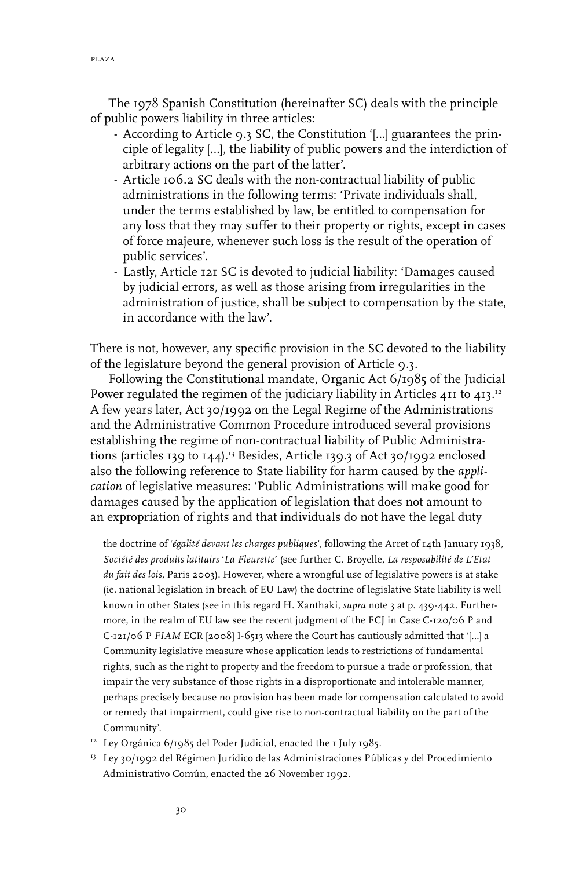The 1978 Spanish Constitution (hereinafter SC) deals with the principle of public powers liability in three articles:

- According to Article 9.3 SC, the Constitution '[…] guarantees the principle of legality […], the liability of public powers and the interdiction of arbitrary actions on the part of the latter'.
- Article 106.2 SC deals with the non-contractual liability of public administrations in the following terms: 'Private individuals shall, under the terms established by law, be entitled to compensation for any loss that they may suffer to their property or rights, except in cases of force majeure, whenever such loss is the result of the operation of public services'.
- Lastly, Article 121 SC is devoted to judicial liability: 'Damages caused by judicial errors, as well as those arising from irregularities in the administration of justice, shall be subject to compensation by the state, in accordance with the law'.

There is not, however, any specific provision in the SC devoted to the liability of the legislature beyond the general provision of Article 9.3.

Following the Constitutional mandate, Organic Act 6/1985 of the Judicial Power regulated the regimen of the judiciary liability in Articles  $411$  to  $413$ . A few years later, Act 30/1992 on the Legal Regime of the Administrations and the Administrative Common Procedure introduced several provisions establishing the regime of non-contractual liability of Public Administrations (articles 139 to  $144$ ).<sup>13</sup> Besides, Article 139.3 of Act 30/1992 enclosed also the following reference to State liability for harm caused by the *application* of legislative measures: 'Public Administrations will make good for damages caused by the application of legislation that does not amount to an expropriation of rights and that individuals do not have the legal duty

the doctrine of '*égalité devant les charges publiques*', following the Arret of 14th January 1938, *Société des produits latitairs* '*La Fleurette*' (see further C. Broyelle, *La resposabilité de L'Etat du fait des lois*, Paris 2003). However, where a wrongful use of legislative powers is at stake (ie. national legislation in breach of EU Law) the doctrine of legislative State liability is well known in other States (see in this regard H. Xanthaki, *supra* note 3 at p. 439-442. Furthermore, in the realm of EU law see the recent judgment of the ECJ in Case C-120/06 P and C-121/06 P *FIAM* ECR [2008] I-6513 where the Court has cautiously admitted that '[…] a Community legislative measure whose application leads to restrictions of fundamental rights, such as the right to property and the freedom to pursue a trade or profession, that impair the very substance of those rights in a disproportionate and intolerable manner, perhaps precisely because no provision has been made for compensation calculated to avoid or remedy that impairment, could give rise to non-contractual liability on the part of the Community'.

- <sup>12</sup> Ley Orgánica 6/1985 del Poder Judicial, enacted the 1 July 1985.
- <sup>13</sup> Ley 30/1992 del Régimen Jurídico de las Administraciones Públicas y del Procedimiento Administrativo Común, enacted the 26 November 1992.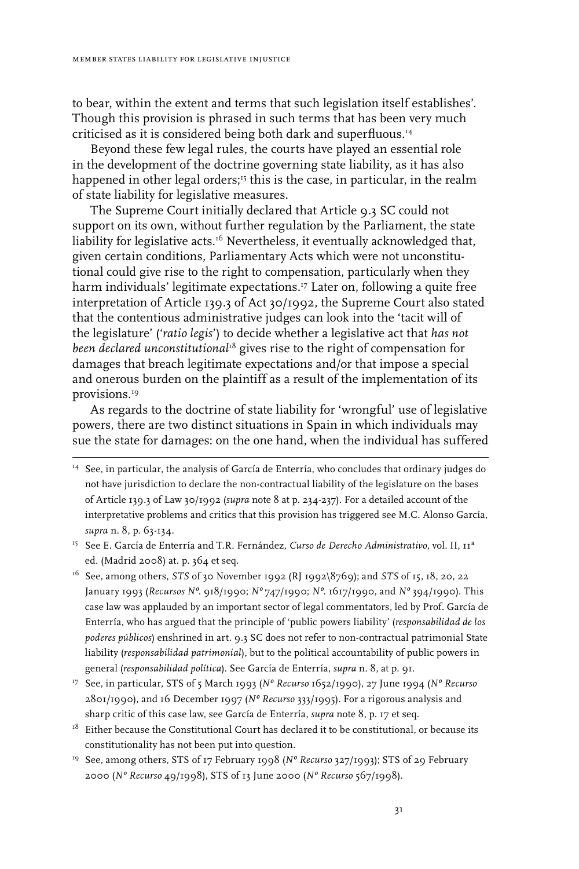to bear, within the extent and terms that such legislation itself establishes'. Though this provision is phrased in such terms that has been very much criticised as it is considered being both dark and superfluous.14

Beyond these few legal rules, the courts have played an essential role in the development of the doctrine governing state liability, as it has also happened in other legal orders;15 this is the case, in particular, in the realm of state liability for legislative measures.

The Supreme Court initially declared that Article 9.3 SC could not support on its own, without further regulation by the Parliament, the state liability for legislative acts.<sup>16</sup> Nevertheless, it eventually acknowledged that, given certain conditions, Parliamentary Acts which were not unconstitutional could give rise to the right to compensation, particularly when they harm individuals' legitimate expectations.17 Later on, following a quite free interpretation of Article 139.3 of Act 30/1992, the Supreme Court also stated that the contentious administrative judges can look into the 'tacit will of the legislature' ('*ratio legis*') to decide whether a legislative act that *has not been declared unconstitutional*<sup>18</sup> gives rise to the right of compensation for damages that breach legitimate expectations and/or that impose a special and onerous burden on the plaintiff as a result of the implementation of its provisions.<sup>19</sup>

As regards to the doctrine of state liability for 'wrongful' use of legislative powers, there are two distinct situations in Spain in which individuals may sue the state for damages: on the one hand, when the individual has suffered

- 15 See E. García de Enterría and T.R. Fernández, *Curso de Derecho Administrativo*, vol. II, 11ª ed. (Madrid 2008) at. p. 364 et seq.
- 16 See, among others, *STS* of 30 November 1992 (RJ 1992\8769); and *STS* of 15, 18, 20, 22 January 1993 (*Recursos Nº*. 918/1990; *Nº* 747/1990; *Nº*. 1617/1990, and *Nº* 394/1990). This case law was applauded by an important sector of legal commentators, led by Prof. García de Enterría, who has argued that the principle of 'public powers liability' (*responsabilidad de los poderes públicos*) enshrined in art. 9.3 SC does not refer to non-contractual patrimonial State liability (*responsabilidad patrimonial*), but to the political accountability of public powers in general (*responsabilidad política*). See García de Enterría, *supra* n. 8, at p. 91.

17 See, in particular, STS of 5 March 1993 (*Nº Recurso* 1652/1990), 27 June 1994 (*Nº Recurso* 2801/1990), and 16 December 1997 (*Nº Recurso* 333/1995). For a rigorous analysis and sharp critic of this case law, see García de Enterría, *supra* note 8, p. 17 et seq.

- $18$  Either because the Constitutional Court has declared it to be constitutional, or because its constitutionality has not been put into question.
- 19 See, among others, STS of 17 February 1998 (*Nº Recurso* 327/1993); STS of 29 February 2000 (*Nº Recurso* 49/1998), STS of 13 June 2000 (*Nº Recurso* 567/1998).

<sup>&</sup>lt;sup>14</sup> See, in particular, the analysis of García de Enterría, who concludes that ordinary judges do not have jurisdiction to declare the non-contractual liability of the legislature on the bases of Article 139.3 of Law 30/1992 (*supra* note 8 at p. 234-237). For a detailed account of the interpretative problems and critics that this provision has triggered see M.C. Alonso García, *supra* n. 8, p. 63-134.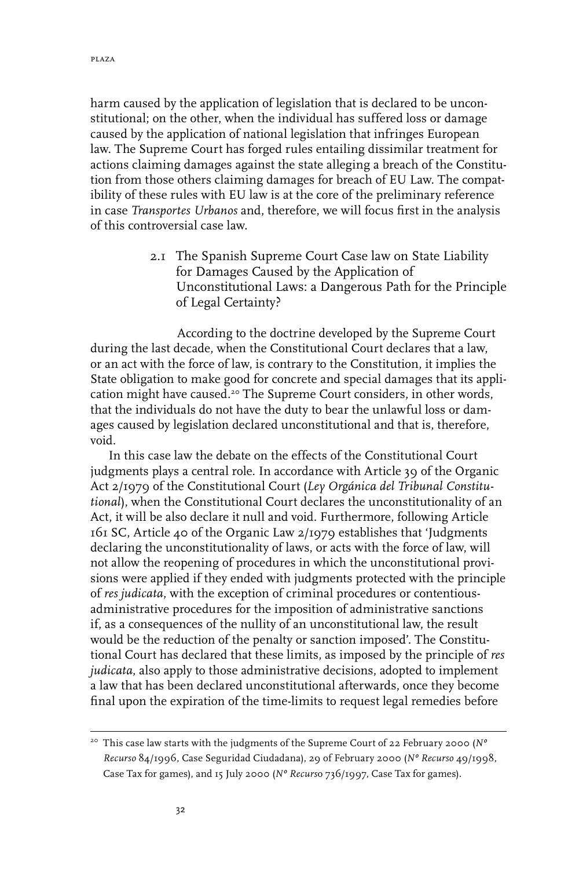harm caused by the application of legislation that is declared to be unconstitutional; on the other, when the individual has suffered loss or damage caused by the application of national legislation that infringes European law. The Supreme Court has forged rules entailing dissimilar treatment for actions claiming damages against the state alleging a breach of the Constitution from those others claiming damages for breach of EU Law. The compatibility of these rules with EU law is at the core of the preliminary reference in case *Transportes Urbanos* and, therefore, we will focus first in the analysis of this controversial case law.

> 2.1 The Spanish Supreme Court Case law on State Liability for Damages Caused by the Application of Unconstitutional Laws: a Dangerous Path for the Principle of Legal Certainty?

According to the doctrine developed by the Supreme Court during the last decade, when the Constitutional Court declares that a law, or an act with the force of law, is contrary to the Constitution, it implies the State obligation to make good for concrete and special damages that its application might have caused.<sup>20</sup> The Supreme Court considers, in other words, that the individuals do not have the duty to bear the unlawful loss or damages caused by legislation declared unconstitutional and that is, therefore, void.

In this case law the debate on the effects of the Constitutional Court judgments plays a central role. In accordance with Article 39 of the Organic Act 2/1979 of the Constitutional Court (*Ley Orgánica del Tribunal Constitutional*), when the Constitutional Court declares the unconstitutionality of an Act, it will be also declare it null and void. Furthermore, following Article 161 SC, Article 40 of the Organic Law 2/1979 establishes that 'Judgments declaring the unconstitutionality of laws, or acts with the force of law, will not allow the reopening of procedures in which the unconstitutional provisions were applied if they ended with judgments protected with the principle of *res judicata*, with the exception of criminal procedures or contentiousadministrative procedures for the imposition of administrative sanctions if, as a consequences of the nullity of an unconstitutional law, the result would be the reduction of the penalty or sanction imposed'. The Constitutional Court has declared that these limits, as imposed by the principle of *res judicata*, also apply to those administrative decisions, adopted to implement a law that has been declared unconstitutional afterwards, once they become final upon the expiration of the time-limits to request legal remedies before

<sup>20</sup> This case law starts with the judgments of the Supreme Court of 22 February 2000 (*Nº Recurso* 84/1996, Case Seguridad Ciudadana), 29 of February 2000 (*Nº Recurso* 49/1998, Case Tax for games), and 15 July 2000 (*Nº Recurs*o 736/1997, Case Tax for games).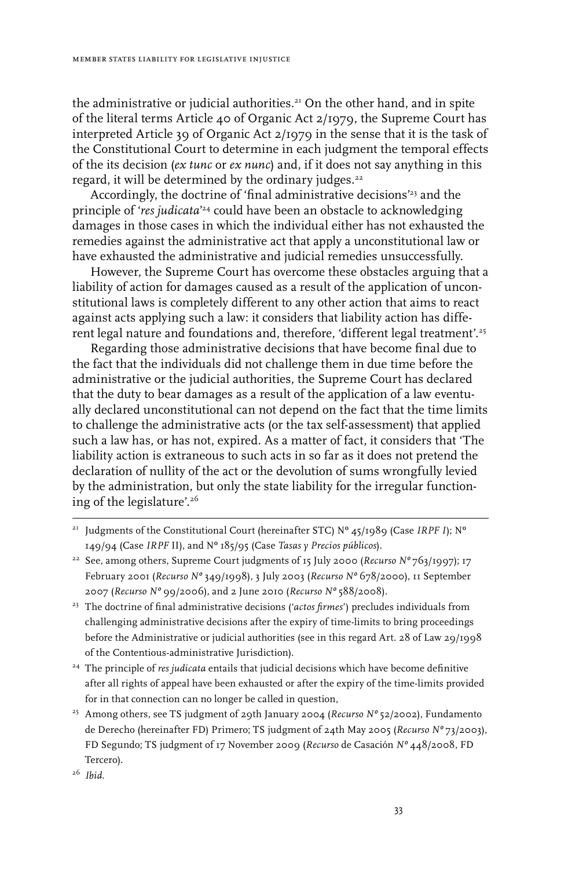the administrative or judicial authorities.<sup>21</sup> On the other hand, and in spite of the literal terms Article 40 of Organic Act 2/1979, the Supreme Court has interpreted Article 39 of Organic Act 2/1979 in the sense that it is the task of the Constitutional Court to determine in each judgment the temporal effects of the its decision (*ex tunc* or *ex nunc*) and, if it does not say anything in this regard, it will be determined by the ordinary judges.<sup>22</sup>

Accordingly, the doctrine of 'final administrative decisions'<sup>23</sup> and the principle of '*res judicata*' 24 could have been an obstacle to acknowledging damages in those cases in which the individual either has not exhausted the remedies against the administrative act that apply a unconstitutional law or have exhausted the administrative and judicial remedies unsuccessfully.

However, the Supreme Court has overcome these obstacles arguing that a liability of action for damages caused as a result of the application of unconstitutional laws is completely different to any other action that aims to react against acts applying such a law: it considers that liability action has different legal nature and foundations and, therefore, 'different legal treatment'.<sup>25</sup>

Regarding those administrative decisions that have become final due to the fact that the individuals did not challenge them in due time before the administrative or the judicial authorities, the Supreme Court has declared that the duty to bear damages as a result of the application of a law eventually declared unconstitutional can not depend on the fact that the time limits to challenge the administrative acts (or the tax self-assessment) that applied such a law has, or has not, expired. As a matter of fact, it considers that 'The liability action is extraneous to such acts in so far as it does not pretend the declaration of nullity of the act or the devolution of sums wrongfully levied by the administration, but only the state liability for the irregular functioning of the legislature'.26

- <sup>21</sup> Judgments of the Constitutional Court (hereinafter STC) N° 45/1989 (Case *IRPF I*); N° 149/94 (Case *IRPF* II), and Nº 185/95 (Case *Tasas y Precios públicos*).
- <sup>22</sup> See, among others, Supreme Court judgments of 15 July 2000 (*Recurso Nº* 763/1997); 17 February 2001 (*Recurso Nº* 349/1998), 3 July 2003 (*Recurso Nº* 678/2000), 11 September 2007 (*Recurso Nº* 99/2006), and 2 June 2010 (*Recurso Nº* 588/2008).
- <sup>23</sup> The doctrine of final administrative decisions ('actos firmes') precludes individuals from challenging administrative decisions after the expiry of time-limits to bring proceedings before the Administrative or judicial authorities (see in this regard Art. 28 of Law 29/1998 of the Contentious-administrative Jurisdiction).
- 24 The principle of *res judicata* entails that judicial decisions which have become definitive after all rights of appeal have been exhausted or after the expiry of the time-limits provided for in that connection can no longer be called in question,
- 25 Among others, see TS judgment of 29th January 2004 (*Recurso Nº* 52/2002), Fundamento de Derecho (hereinafter FD) Primero; TS judgment of 24th May 2005 (*Recurso Nº* 73/2003), FD Segundo; TS judgment of 17 November 2009 (*Recurso* de Casación *Nº* 448/2008, FD Tercero).

<sup>26</sup> *Ibid*.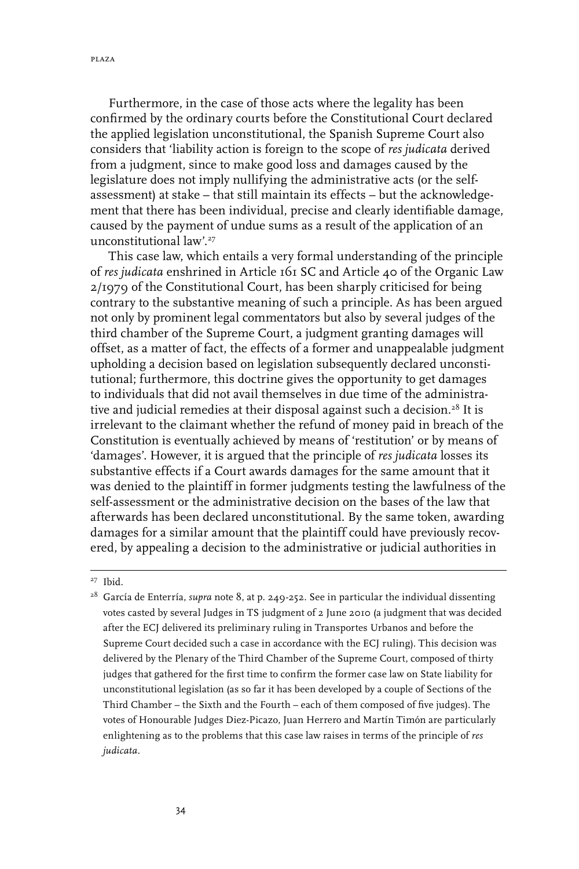Furthermore, in the case of those acts where the legality has been confirmed by the ordinary courts before the Constitutional Court declared the applied legislation unconstitutional, the Spanish Supreme Court also considers that 'liability action is foreign to the scope of *res judicata* derived from a judgment, since to make good loss and damages caused by the legislature does not imply nullifying the administrative acts (or the selfassessment) at stake – that still maintain its effects – but the acknowledgement that there has been individual, precise and clearly identifiable damage, caused by the payment of undue sums as a result of the application of an unconstitutional law'.27

This case law, which entails a very formal understanding of the principle of *res judicata* enshrined in Article 161 SC and Article 40 of the Organic Law 2/1979 of the Constitutional Court, has been sharply criticised for being contrary to the substantive meaning of such a principle. As has been argued not only by prominent legal commentators but also by several judges of the third chamber of the Supreme Court, a judgment granting damages will offset, as a matter of fact, the effects of a former and unappealable judgment upholding a decision based on legislation subsequently declared unconstitutional; furthermore, this doctrine gives the opportunity to get damages to individuals that did not avail themselves in due time of the administrative and judicial remedies at their disposal against such a decision.<sup>28</sup> It is irrelevant to the claimant whether the refund of money paid in breach of the Constitution is eventually achieved by means of 'restitution' or by means of 'damages'. However, it is argued that the principle of *res judicata* losses its substantive effects if a Court awards damages for the same amount that it was denied to the plaintiff in former judgments testing the lawfulness of the self-assessment or the administrative decision on the bases of the law that afterwards has been declared unconstitutional. By the same token, awarding damages for a similar amount that the plaintiff could have previously recovered, by appealing a decision to the administrative or judicial authorities in

<sup>27</sup> Ibid.

<sup>&</sup>lt;sup>28</sup> García de Enterría, *supra* note 8, at p. 249-252. See in particular the individual dissenting votes casted by several Judges in TS judgment of 2 June 2010 (a judgment that was decided after the ECJ delivered its preliminary ruling in Transportes Urbanos and before the Supreme Court decided such a case in accordance with the ECJ ruling). This decision was delivered by the Plenary of the Third Chamber of the Supreme Court, composed of thirty judges that gathered for the first time to confirm the former case law on State liability for unconstitutional legislation (as so far it has been developed by a couple of Sections of the Third Chamber – the Sixth and the Fourth – each of them composed of five judges). The votes of Honourable Judges Diez-Picazo, Juan Herrero and Martín Timón are particularly enlightening as to the problems that this case law raises in terms of the principle of *res judicata*.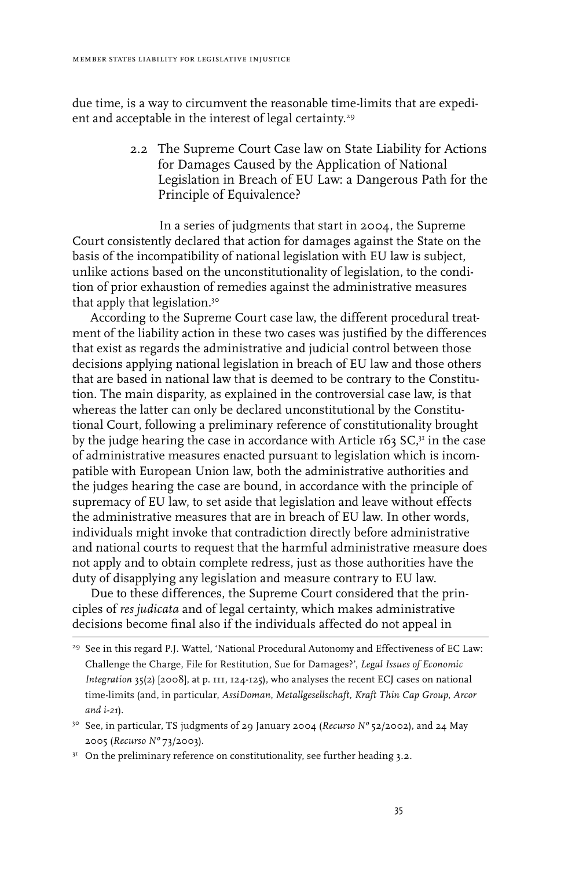due time, is a way to circumvent the reasonable time-limits that are expedient and acceptable in the interest of legal certainty.<sup>29</sup>

> 2.2 The Supreme Court Case law on State Liability for Actions for Damages Caused by the Application of National Legislation in Breach of EU Law: a Dangerous Path for the Principle of Equivalence?

In a series of judgments that start in 2004, the Supreme Court consistently declared that action for damages against the State on the basis of the incompatibility of national legislation with EU law is subject, unlike actions based on the unconstitutionality of legislation, to the condition of prior exhaustion of remedies against the administrative measures that apply that legislation.30

According to the Supreme Court case law, the different procedural treatment of the liability action in these two cases was justified by the differences that exist as regards the administrative and judicial control between those decisions applying national legislation in breach of EU law and those others that are based in national law that is deemed to be contrary to the Constitution. The main disparity, as explained in the controversial case law, is that whereas the latter can only be declared unconstitutional by the Constitutional Court, following a preliminary reference of constitutionality brought by the judge hearing the case in accordance with Article  $163$  SC, $3<sup>1</sup>$  in the case of administrative measures enacted pursuant to legislation which is incompatible with European Union law, both the administrative authorities and the judges hearing the case are bound, in accordance with the principle of supremacy of EU law, to set aside that legislation and leave without effects the administrative measures that are in breach of EU law. In other words, individuals might invoke that contradiction directly before administrative and national courts to request that the harmful administrative measure does not apply and to obtain complete redress, just as those authorities have the duty of disapplying any legislation and measure contrary to EU law.

Due to these differences, the Supreme Court considered that the principles of *res judicata* and of legal certainty, which makes administrative decisions become final also if the individuals affected do not appeal in

 $31$  On the preliminary reference on constitutionality, see further heading 3.2.

<sup>&</sup>lt;sup>29</sup> See in this regard P.J. Wattel, 'National Procedural Autonomy and Effectiveness of EC Law: Challenge the Charge, File for Restitution, Sue for Damages?', *Legal Issues of Economic Integration* 35(2) [2008], at p. 111, 124-125), who analyses the recent ECJ cases on national time-limits (and, in particular, *AssiDoman*, *Metallgesellschaft, Kraft Thin Cap Group*, *Arcor and i-21*).

<sup>30</sup> See, in particular, TS judgments of 29 January 2004 (*Recurso Nº* 52/2002), and 24 May 2005 (*Recurso Nº* 73/2003).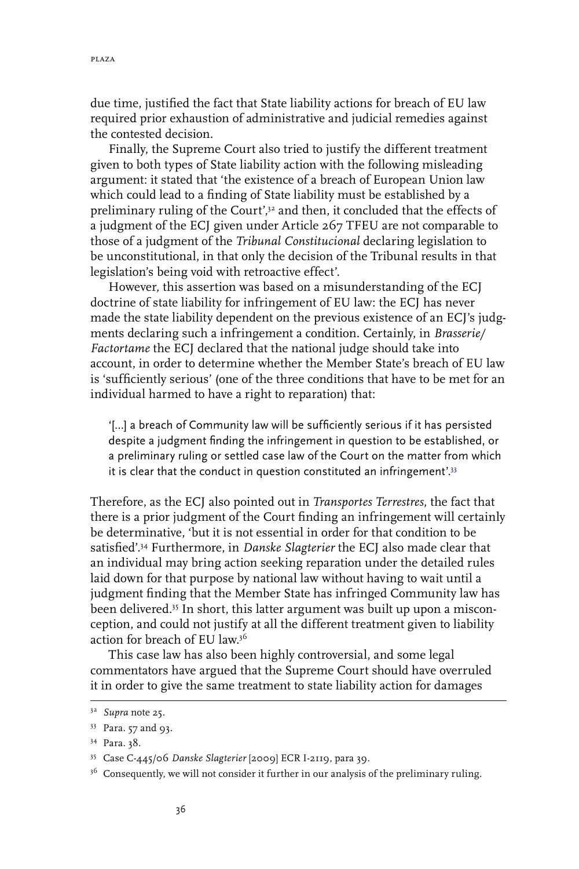due time, justified the fact that State liability actions for breach of EU law required prior exhaustion of administrative and judicial remedies against the contested decision.

Finally, the Supreme Court also tried to justify the different treatment given to both types of State liability action with the following misleading argument: it stated that 'the existence of a breach of European Union law which could lead to a finding of State liability must be established by a preliminary ruling of the Court',<sup>32</sup> and then, it concluded that the effects of a judgment of the ECJ given under Article 267 TFEU are not comparable to those of a judgment of the *Tribunal Constitucional* declaring legislation to be unconstitutional, in that only the decision of the Tribunal results in that legislation's being void with retroactive effect'.

However, this assertion was based on a misunderstanding of the ECJ doctrine of state liability for infringement of EU law: the ECJ has never made the state liability dependent on the previous existence of an ECJ's judgments declaring such a infringement a condition. Certainly, in *Brasserie/ Factortame* the ECJ declared that the national judge should take into account, in order to determine whether the Member State's breach of EU law is 'sufficiently serious' (one of the three conditions that have to be met for an individual harmed to have a right to reparation) that:

'[…] a breach of Community law will be sufficiently serious if it has persisted despite a judgment finding the infringement in question to be established, or a preliminary ruling or settled case law of the Court on the matter from which it is clear that the conduct in question constituted an infringement'.<sup>33</sup>

Therefore, as the ECJ also pointed out in *Transportes Terrestres*, the fact that there is a prior judgment of the Court finding an infringement will certainly be determinative, 'but it is not essential in order for that condition to be satisfied'.34 Furthermore, in *Danske Slagterier* the ECJ also made clear that an individual may bring action seeking reparation under the detailed rules laid down for that purpose by national law without having to wait until a judgment finding that the Member State has infringed Community law has been delivered.35 In short, this latter argument was built up upon a misconception, and could not justify at all the different treatment given to liability action for breach of EU law.36

This case law has also been highly controversial, and some legal commentators have argued that the Supreme Court should have overruled it in order to give the same treatment to state liability action for damages

<sup>32</sup> *Supra* note 25.

<sup>33</sup> Para. 57 and 93.

<sup>34</sup> Para. 38.

<sup>35</sup> Case C‑445/06 *Danske Slagterier* [2009] ECR I-2119, para 39.

<sup>&</sup>lt;sup>36</sup> Consequently, we will not consider it further in our analysis of the preliminary ruling.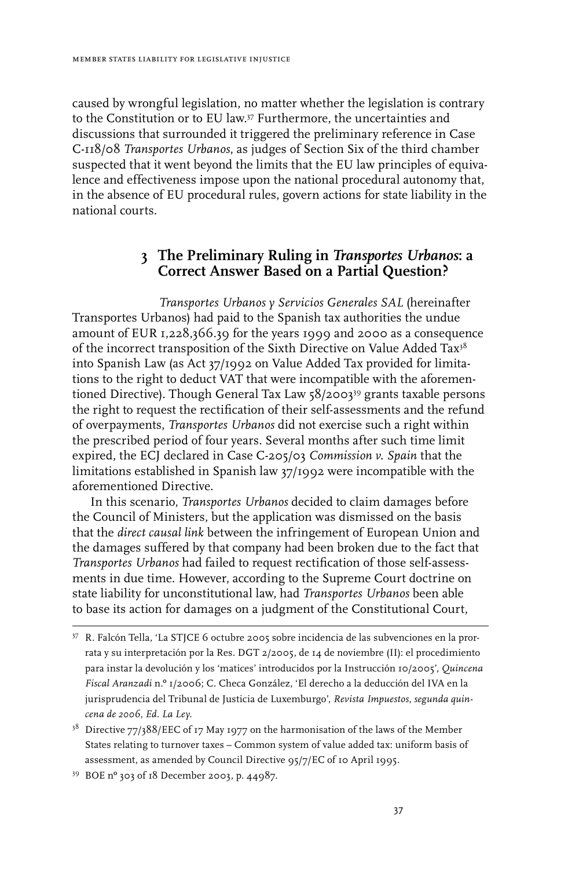caused by wrongful legislation, no matter whether the legislation is contrary to the Constitution or to EU law.37 Furthermore, the uncertainties and discussions that surrounded it triggered the preliminary reference in Case C-118/08 *Transportes Urbanos*, as judges of Section Six of the third chamber suspected that it went beyond the limits that the EU law principles of equivalence and effectiveness impose upon the national procedural autonomy that, in the absence of EU procedural rules, govern actions for state liability in the national courts.

## **3 The Preliminary Ruling in** *Transportes Urbanos***: a Correct Answer Based on a Partial Question?**

*Transportes Urbanos y Servicios Generales SAL* (hereinafter Transportes Urbanos) had paid to the Spanish tax authorities the undue amount of EUR 1,228,366.39 for the years 1999 and 2000 as a consequence of the incorrect transposition of the Sixth Directive on Value Added Tax<sup>38</sup> into Spanish Law (as Act 37/1992 on Value Added Tax provided for limitations to the right to deduct VAT that were incompatible with the aforementioned Directive). Though General Tax Law 58/2003<sup>39</sup> grants taxable persons the right to request the rectification of their self-assessments and the refund of overpayments, *Transportes Urbanos* did not exercise such a right within the prescribed period of four years. Several months after such time limit expired, the ECJ declared in Case C-205/03 *Commission v. Spain* that the limitations established in Spanish law 37/1992 were incompatible with the aforementioned Directive.

In this scenario, *Transportes Urbanos* decided to claim damages before the Council of Ministers, but the application was dismissed on the basis that the *direct causal link* between the infringement of European Union and the damages suffered by that company had been broken due to the fact that *Transportes Urbanos* had failed to request rectification of those self-assessments in due time. However, according to the Supreme Court doctrine on state liability for unconstitutional law, had *Transportes Urbanos* been able to base its action for damages on a judgment of the Constitutional Court,

<sup>37</sup> R. Falcón Tella, 'La STJCE 6 octubre 2005 sobre incidencia de las subvenciones en la prorrata y su interpretación por la Res. DGT 2/2005, de 14 de noviembre (II): el procedimiento para instar la devolución y los 'matices' introducidos por la Instrucción 10/2005', *Quincena Fiscal Aranzadi* n.º 1/2006; C. Checa González, 'El derecho a la deducción del IVA en la jurisprudencia del Tribunal de Justicia de Luxemburgo', *Revista Impuestos*, *segunda quincena de 2006*, *Ed. La Ley*.

<sup>&</sup>lt;sup>38</sup> Directive 77/388/EEC of 17 May 1977 on the harmonisation of the laws of the Member States relating to turnover taxes – Common system of value added tax: uniform basis of assessment, as amended by Council Directive 95/7/EC of 10 April 1995.

<sup>39</sup> BOE nº 303 of 18 December 2003, p. 44987.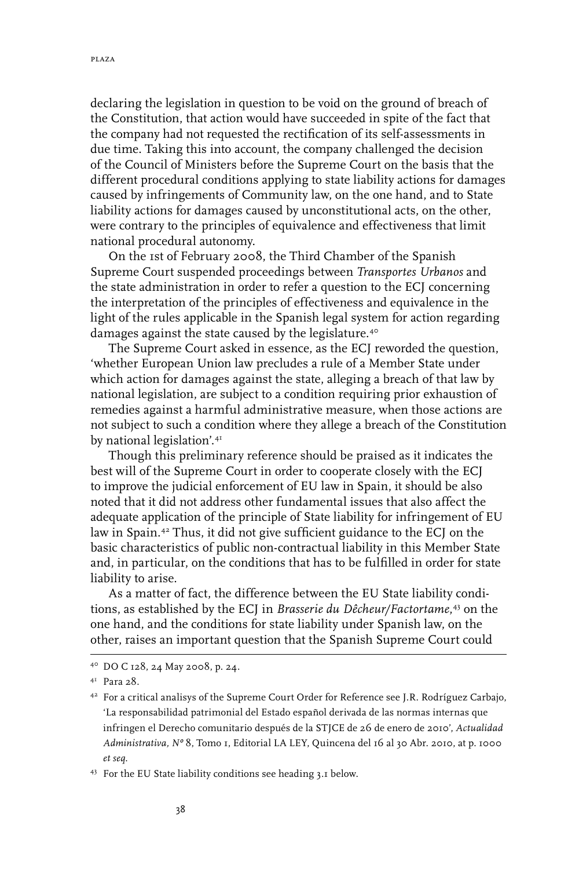declaring the legislation in question to be void on the ground of breach of the Constitution, that action would have succeeded in spite of the fact that the company had not requested the rectification of its self-assessments in due time. Taking this into account, the company challenged the decision of the Council of Ministers before the Supreme Court on the basis that the different procedural conditions applying to state liability actions for damages caused by infringements of Community law, on the one hand, and to State liability actions for damages caused by unconstitutional acts, on the other, were contrary to the principles of equivalence and effectiveness that limit national procedural autonomy.

On the 1st of February 2008, the Third Chamber of the Spanish Supreme Court suspended proceedings between *Transportes Urbanos* and the state administration in order to refer a question to the ECJ concerning the interpretation of the principles of effectiveness and equivalence in the light of the rules applicable in the Spanish legal system for action regarding damages against the state caused by the legislature.<sup>40</sup>

The Supreme Court asked in essence, as the ECJ reworded the question, 'whether European Union law precludes a rule of a Member State under which action for damages against the state, alleging a breach of that law by national legislation, are subject to a condition requiring prior exhaustion of remedies against a harmful administrative measure, when those actions are not subject to such a condition where they allege a breach of the Constitution by national legislation'.41

Though this preliminary reference should be praised as it indicates the best will of the Supreme Court in order to cooperate closely with the ECJ to improve the judicial enforcement of EU law in Spain, it should be also noted that it did not address other fundamental issues that also affect the adequate application of the principle of State liability for infringement of EU law in Spain.42 Thus, it did not give sufficient guidance to the ECJ on the basic characteristics of public non-contractual liability in this Member State and, in particular, on the conditions that has to be fulfilled in order for state liability to arise.

As a matter of fact, the difference between the EU State liability conditions, as established by the ECJ in *Brasserie du Dêcheur/Factortame*, 43 on the one hand, and the conditions for state liability under Spanish law, on the other, raises an important question that the Spanish Supreme Court could

<sup>40</sup> DO C 128, 24 May 2008, p. 24.

<sup>41</sup> Para 28.

<sup>42</sup> For a critical analisys of the Supreme Court Order for Reference see J.R. Rodríguez Carbajo, 'La responsabilidad patrimonial del Estado español derivada de las normas internas que infringen el Derecho comunitario después de la STJCE de 26 de enero de 2010', *Actualidad Administrativa, Nº* 8, Tomo 1, Editorial LA LEY, Quincena del 16 al 30 Abr. 2010, at p. 1000 *et seq*.

<sup>43</sup> For the EU State liability conditions see heading 3.1 below.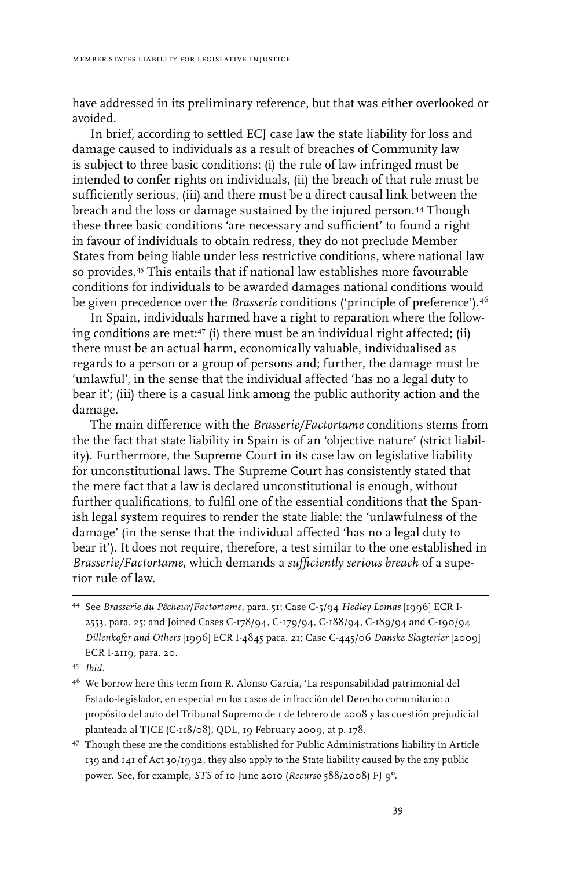have addressed in its preliminary reference, but that was either overlooked or avoided.

In brief, according to settled ECJ case law the state liability for loss and damage caused to individuals as a result of breaches of Community law is subject to three basic conditions: (i) the rule of law infringed must be intended to confer rights on individuals, (ii) the breach of that rule must be sufficiently serious, (iii) and there must be a direct causal link between the breach and the loss or damage sustained by the injured person.44 Though these three basic conditions 'are necessary and sufficient' to found a right in favour of individuals to obtain redress, they do not preclude Member States from being liable under less restrictive conditions, where national law so provides.45 This entails that if national law establishes more favourable conditions for individuals to be awarded damages national conditions would be given precedence over the *Brasserie* conditions ('principle of preference').<sup>46</sup>

In Spain, individuals harmed have a right to reparation where the following conditions are met:47 (i) there must be an individual right affected; (ii) there must be an actual harm, economically valuable, individualised as regards to a person or a group of persons and; further, the damage must be 'unlawful', in the sense that the individual affected 'has no a legal duty to bear it'; (iii) there is a casual link among the public authority action and the damage.

The main difference with the *Brasserie/Factortame* conditions stems from the the fact that state liability in Spain is of an 'objective nature' (strict liability). Furthermore, the Supreme Court in its case law on legislative liability for unconstitutional laws. The Supreme Court has consistently stated that the mere fact that a law is declared unconstitutional is enough, without further qualifications, to fulfil one of the essential conditions that the Spanish legal system requires to render the state liable: the 'unlawfulness of the damage' (in the sense that the individual affected 'has no a legal duty to bear it'). It does not require, therefore, a test similar to the one established in *Brasserie/Factortame*, which demands a *sufficiently serious breach* of a superior rule of law.

47 Though these are the conditions established for Public Administrations liability in Article 139 and 141 of Act 30/1992, they also apply to the State liability caused by the any public power. See, for example, *STS* of 10 June 2010 (*Recurso* 588/2008) FJ 9º.

<sup>44</sup> See *Brasserie du Pêcheur*/*Factortame*, para. 51; Case C-5/94 *Hedley Lomas* [1996] ECR I- 2553, para. 25; and Joined Cases C-178/94, C-179/94, C-188/94, C-189/94 and C-190/94 *Dillenkofer and Others* [1996] ECR I-4845 para. 21; Case C‑445/06 *Danske Slagterier* [2009] ECR I-2119, para. 20.

<sup>45</sup> *Ibid.*

<sup>46</sup> We borrow here this term from R. Alonso García, 'La responsabilidad patrimonial del Estado-legislador, en especial en los casos de infracción del Derecho comunitario: a propósito del auto del Tribunal Supremo de 1 de febrero de 2008 y las cuestión prejudicial planteada al TJCE (C-118/08), QDL, 19 February 2009, at p. 178.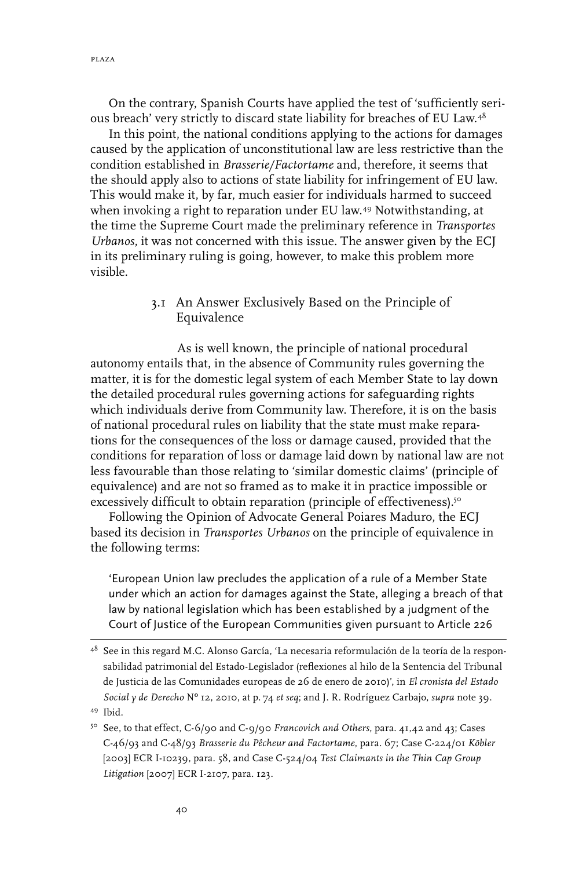On the contrary, Spanish Courts have applied the test of 'sufficiently serious breach' very strictly to discard state liability for breaches of EU Law.48

In this point, the national conditions applying to the actions for damages caused by the application of unconstitutional law are less restrictive than the condition established in *Brasserie/Factortame* and, therefore, it seems that the should apply also to actions of state liability for infringement of EU law. This would make it, by far, much easier for individuals harmed to succeed when invoking a right to reparation under EU law.<sup>49</sup> Notwithstanding, at the time the Supreme Court made the preliminary reference in *Transportes Urbanos*, it was not concerned with this issue. The answer given by the ECJ in its preliminary ruling is going, however, to make this problem more visible.

#### 3.1 An Answer Exclusively Based on the Principle of Equivalence

As is well known, the principle of national procedural autonomy entails that, in the absence of Community rules governing the matter, it is for the domestic legal system of each Member State to lay down the detailed procedural rules governing actions for safeguarding rights which individuals derive from Community law. Therefore, it is on the basis of national procedural rules on liability that the state must make reparations for the consequences of the loss or damage caused, provided that the conditions for reparation of loss or damage laid down by national law are not less favourable than those relating to 'similar domestic claims' (principle of equivalence) and are not so framed as to make it in practice impossible or excessively difficult to obtain reparation (principle of effectiveness).<sup>50</sup>

Following the Opinion of Advocate General Poiares Maduro, the ECJ based its decision in *Transportes Urbanos* on the principle of equivalence in the following terms:

'European Union law precludes the application of a rule of a Member State under which an action for damages against the State, alleging a breach of that law by national legislation which has been established by a judgment of the Court of Justice of the European Communities given pursuant to Article 226

<sup>48</sup> See in this regard M.C. Alonso García, 'La necesaria reformulación de la teoría de la responsabilidad patrimonial del Estado-Legislador (reflexiones al hilo de la Sentencia del Tribunal de Justicia de las Comunidades europeas de 26 de enero de 2010)', in *El cronista del Estado Social y de Derecho* Nº 12, 2010, at p. 74 *et seq*; and J. R. Rodríguez Carbajo, *supra* note 39. 49 Ibid.

<sup>50</sup> See, to that effect, C-6/90 and C-9/90 *Francovich and Others*, para. 41,42 and 43; Cases C-46/93 and C-48/93 *Brasserie du Pêcheur and Factortame*, para. 67; Case C‑224/01 *Köbler* [2003] ECR I‑10239, para. 58, and Case C-524/04 *Test Claimants in the Thin Cap Group Litigation* [2007] ECR I‑2107, para. 123.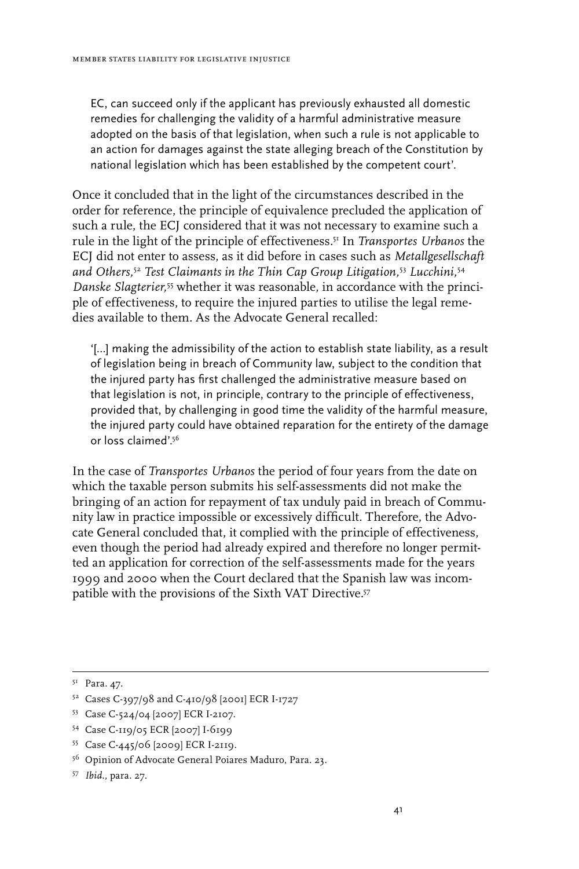EC, can succeed only if the applicant has previously exhausted all domestic remedies for challenging the validity of a harmful administrative measure adopted on the basis of that legislation, when such a rule is not applicable to an action for damages against the state alleging breach of the Constitution by national legislation which has been established by the competent court'.

Once it concluded that in the light of the circumstances described in the order for reference, the principle of equivalence precluded the application of such a rule, the ECJ considered that it was not necessary to examine such a rule in the light of the principle of effectiveness.51 In *Transportes Urbanos* the ECJ did not enter to assess, as it did before in cases such as *Metallgesellschaft and Others,*<sup>52</sup>  *Test Claimants in the Thin Cap Group Litigation,*<sup>53</sup>  *Lucchini,*<sup>54</sup> *Danske Slagterier,*55 whether it was reasonable, in accordance with the principle of effectiveness, to require the injured parties to utilise the legal remedies available to them. As the Advocate General recalled:

'[…] making the admissibility of the action to establish state liability, as a result of legislation being in breach of Community law, subject to the condition that the injured party has first challenged the administrative measure based on that legislation is not, in principle, contrary to the principle of effectiveness, provided that, by challenging in good time the validity of the harmful measure, the injured party could have obtained reparation for the entirety of the damage or loss claimed'.<sup>56</sup>

In the case of *Transportes Urbanos* the period of four years from the date on which the taxable person submits his self-assessments did not make the bringing of an action for repayment of tax unduly paid in breach of Community law in practice impossible or excessively difficult. Therefore, the Advocate General concluded that, it complied with the principle of effectiveness, even though the period had already expired and therefore no longer permitted an application for correction of the self-assessments made for the years 1999 and 2000 when the Court declared that the Spanish law was incompatible with the provisions of the Sixth VAT Directive.<sup>57</sup>

- 53 Case C-524/04 [2007] ECR I-2107.
- 54 Case C-119/05 ECR [2007] I-6199
- 55 Case C-445/06 [2009] ECR I-2119.
- 56 Opinion of Advocate General Poiares Maduro, Para. 23.
- 57 *Ibid*., para. 27.

<sup>&</sup>lt;sup>51</sup> Para. 47.

<sup>52</sup> Cases C-397/98 and C-410/98 [2001] ECR I-1727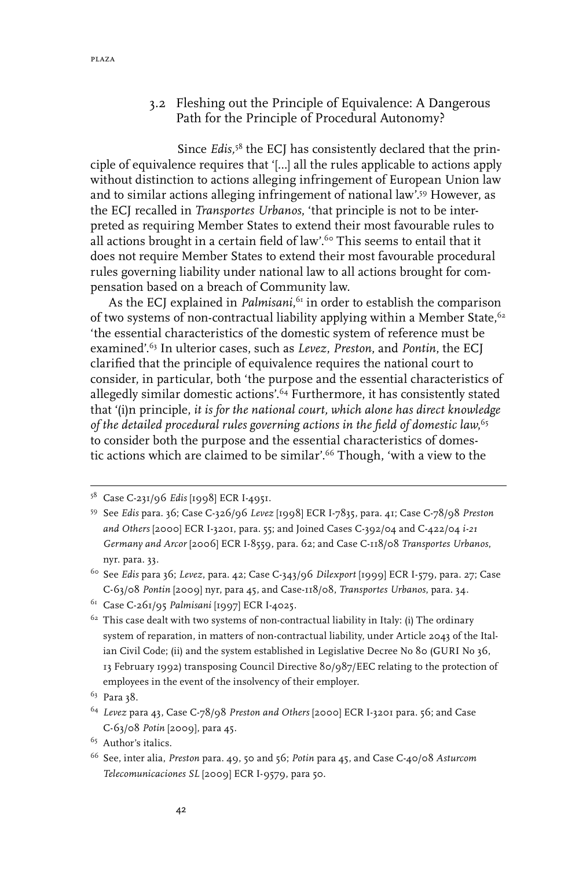#### 3.2 Fleshing out the Principle of Equivalence: A Dangerous Path for the Principle of Procedural Autonomy?

Since *Edis,*58 the ECJ has consistently declared that the principle of equivalence requires that '[…] all the rules applicable to actions apply without distinction to actions alleging infringement of European Union law and to similar actions alleging infringement of national law'.59 However, as the ECJ recalled in *Transportes Urbanos*, 'that principle is not to be interpreted as requiring Member States to extend their most favourable rules to all actions brought in a certain field of law'.<sup>60</sup> This seems to entail that it does not require Member States to extend their most favourable procedural rules governing liability under national law to all actions brought for compensation based on a breach of Community law.

As the ECJ explained in *Palmisani*, $^{61}$  in order to establish the comparison of two systems of non-contractual liability applying within a Member State, <sup>62</sup> 'the essential characteristics of the domestic system of reference must be examined'.63 In ulterior cases, such as *Levez*, *Preston*, and *Pontin*, the ECJ clarified that the principle of equivalence requires the national court to consider, in particular, both 'the purpose and the essential characteristics of allegedly similar domestic actions'.64 Furthermore, it has consistently stated that '(i)n principle, *it is for the national court, which alone has direct knowledge of the detailed procedural rules governing actions in the field of domestic law*, 65 to consider both the purpose and the essential characteristics of domestic actions which are claimed to be similar'.66 Though, 'with a view to the

<sup>58</sup> Case C‑231/96 *Edis* [1998] ECR I‑4951.

<sup>59</sup> See *Edis* para. 36; Case C‑326/96 *Levez* [1998] ECR I-7835, para. 41; Case C-78/98 *Preston and Others* [2000] ECR I‑3201, para. 55; and Joined Cases C‑392/04 and C‑422/04 *i-21 Germany and Arcor* [2006] ECR I-8559, para. 62; and Case C-118/08 *Transportes Urbanos*, nyr. para. 33.

<sup>60</sup> See *Edis* para 36; *Levez*, para. 42; Case C‑343/96 *Dilexport* [1999] ECR I-579, para. 27; Case C-63/08 *Pontin* [2009] nyr, para 45, and Case-118/08, *Transportes Urbanos*, para. 34.

<sup>61</sup> Case C-261/95 *Palmisani* [1997] ECR I-4025*.*

 $62$  This case dealt with two systems of non-contractual liability in Italy: (i) The ordinary system of reparation, in matters of non-contractual liability, under Article 2043 of the Italian Civil Code; (ii) and the system established in Legislative Decree No 80 (GURI No 36, 13 February 1992) transposing Council Directive 80/987/EEC relating to the protection of employees in the event of the insolvency of their employer.

<sup>&</sup>lt;sup>63</sup> Para 38.

<sup>64</sup> *Levez* para 43, Case C-78/98 *Preston and Others* [2000] ECR I‑3201 para. 56; and Case C-63/08 *Potin* [2009], para 45.

<sup>65</sup> Author's italics.

<sup>66</sup> See, inter alia, *Preston* para. 49, 50 and 56; *Potin* para 45, and Case C‑40/08 *Asturcom Telecomunicaciones SL* [2009] ECR I-9579, para 50.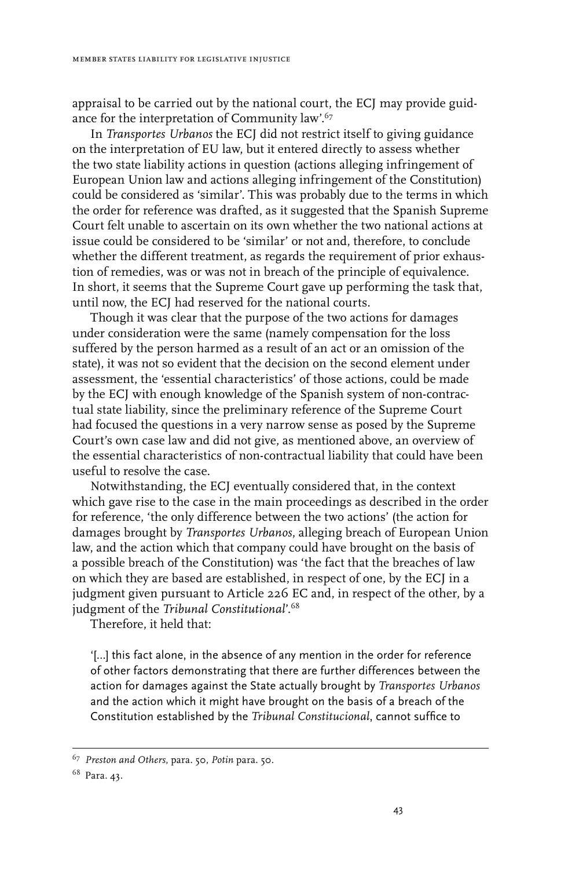appraisal to be carried out by the national court, the ECJ may provide guidance for the interpretation of Community law'.67

In *Transportes Urbanos* the ECJ did not restrict itself to giving guidance on the interpretation of EU law, but it entered directly to assess whether the two state liability actions in question (actions alleging infringement of European Union law and actions alleging infringement of the Constitution) could be considered as 'similar'. This was probably due to the terms in which the order for reference was drafted, as it suggested that the Spanish Supreme Court felt unable to ascertain on its own whether the two national actions at issue could be considered to be 'similar' or not and, therefore, to conclude whether the different treatment, as regards the requirement of prior exhaustion of remedies, was or was not in breach of the principle of equivalence. In short, it seems that the Supreme Court gave up performing the task that, until now, the ECJ had reserved for the national courts.

Though it was clear that the purpose of the two actions for damages under consideration were the same (namely compensation for the loss suffered by the person harmed as a result of an act or an omission of the state), it was not so evident that the decision on the second element under assessment, the 'essential characteristics' of those actions, could be made by the ECJ with enough knowledge of the Spanish system of non-contractual state liability, since the preliminary reference of the Supreme Court had focused the questions in a very narrow sense as posed by the Supreme Court's own case law and did not give, as mentioned above, an overview of the essential characteristics of non-contractual liability that could have been useful to resolve the case.

Notwithstanding, the ECJ eventually considered that, in the context which gave rise to the case in the main proceedings as described in the order for reference, 'the only difference between the two actions' (the action for damages brought by *Transportes Urbanos*, alleging breach of European Union law, and the action which that company could have brought on the basis of a possible breach of the Constitution) was 'the fact that the breaches of law on which they are based are established, in respect of one, by the ECJ in a judgment given pursuant to Article 226 EC and, in respect of the other, by a judgment of the *Tribunal Constitutional*'.68

Therefore, it held that:

'[…] this fact alone, in the absence of any mention in the order for reference of other factors demonstrating that there are further differences between the action for damages against the State actually brought by *Transportes Urbanos* and the action which it might have brought on the basis of a breach of the Constitution established by the *Tribunal Constitucional*, cannot suffice to

<sup>67</sup> *Preston and Others*, para. 50, *Potin* para. 50.

<sup>68</sup> Para. 43.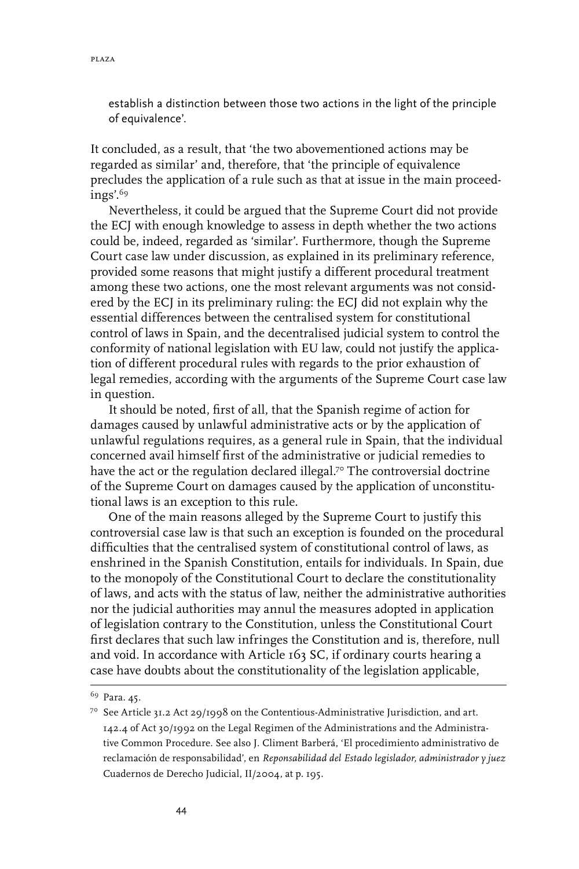establish a distinction between those two actions in the light of the principle of equivalence'.

It concluded, as a result, that 'the two abovementioned actions may be regarded as similar' and, therefore, that 'the principle of equivalence precludes the application of a rule such as that at issue in the main proceedings'.69

Nevertheless, it could be argued that the Supreme Court did not provide the ECJ with enough knowledge to assess in depth whether the two actions could be, indeed, regarded as 'similar'. Furthermore, though the Supreme Court case law under discussion, as explained in its preliminary reference, provided some reasons that might justify a different procedural treatment among these two actions, one the most relevant arguments was not considered by the ECJ in its preliminary ruling: the ECJ did not explain why the essential differences between the centralised system for constitutional control of laws in Spain, and the decentralised judicial system to control the conformity of national legislation with EU law, could not justify the application of different procedural rules with regards to the prior exhaustion of legal remedies, according with the arguments of the Supreme Court case law in question.

It should be noted, first of all, that the Spanish regime of action for damages caused by unlawful administrative acts or by the application of unlawful regulations requires, as a general rule in Spain, that the individual concerned avail himself first of the administrative or judicial remedies to have the act or the regulation declared illegal.<sup>70</sup> The controversial doctrine of the Supreme Court on damages caused by the application of unconstitutional laws is an exception to this rule.

One of the main reasons alleged by the Supreme Court to justify this controversial case law is that such an exception is founded on the procedural difficulties that the centralised system of constitutional control of laws, as enshrined in the Spanish Constitution, entails for individuals. In Spain, due to the monopoly of the Constitutional Court to declare the constitutionality of laws, and acts with the status of law, neither the administrative authorities nor the judicial authorities may annul the measures adopted in application of legislation contrary to the Constitution, unless the Constitutional Court first declares that such law infringes the Constitution and is, therefore, null and void. In accordance with Article 163 SC, if ordinary courts hearing a case have doubts about the constitutionality of the legislation applicable,

<sup>69</sup> Para. 45.

<sup>70</sup> See Article 31.2 Act 29/1998 on the Contentious-Administrative Jurisdiction, and art. 142.4 of Act 30/1992 on the Legal Regimen of the Administrations and the Administrative Common Procedure. See also J. Climent Barberá, 'El procedimiento administrativo de reclamación de responsabilidad', en *Reponsabilidad del Estado legislador, administrador y juez*  Cuadernos de Derecho Judicial, II/2004, at p. 195.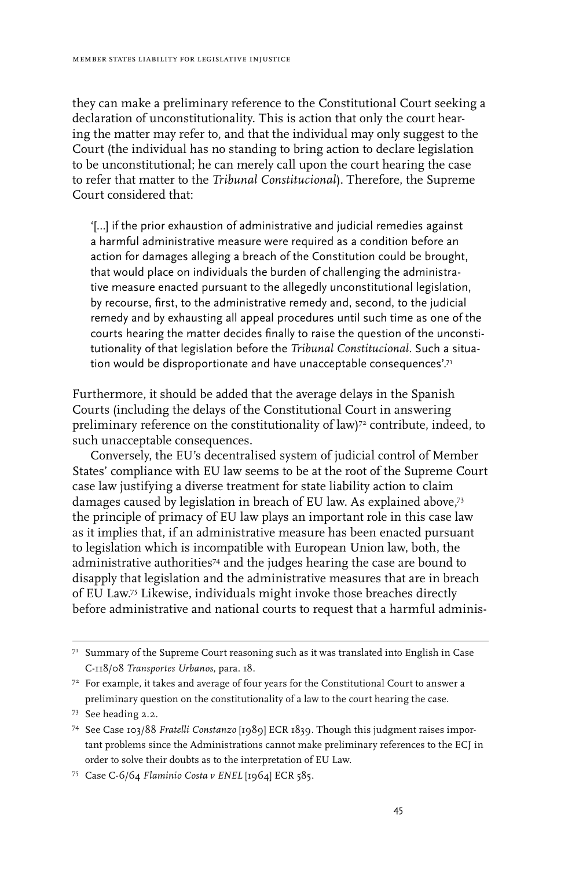they can make a preliminary reference to the Constitutional Court seeking a declaration of unconstitutionality. This is action that only the court hearing the matter may refer to, and that the individual may only suggest to the Court (the individual has no standing to bring action to declare legislation to be unconstitutional; he can merely call upon the court hearing the case to refer that matter to the *Tribunal Constitucional*). Therefore, the Supreme Court considered that:

'[…] if the prior exhaustion of administrative and judicial remedies against a harmful administrative measure were required as a condition before an action for damages alleging a breach of the Constitution could be brought, that would place on individuals the burden of challenging the administrative measure enacted pursuant to the allegedly unconstitutional legislation, by recourse, first, to the administrative remedy and, second, to the judicial remedy and by exhausting all appeal procedures until such time as one of the courts hearing the matter decides finally to raise the question of the unconstitutionality of that legislation before the *Tribunal Constitucional*. Such a situation would be disproportionate and have unacceptable consequences'.<sup>71</sup>

Furthermore, it should be added that the average delays in the Spanish Courts (including the delays of the Constitutional Court in answering preliminary reference on the constitutionality of law)<sup>72</sup> contribute, indeed, to such unacceptable consequences.

Conversely, the EU's decentralised system of judicial control of Member States' compliance with EU law seems to be at the root of the Supreme Court case law justifying a diverse treatment for state liability action to claim damages caused by legislation in breach of EU law. As explained above,73 the principle of primacy of EU law plays an important role in this case law as it implies that, if an administrative measure has been enacted pursuant to legislation which is incompatible with European Union law, both, the administrative authorities<sup>74</sup> and the judges hearing the case are bound to disapply that legislation and the administrative measures that are in breach of EU Law.75 Likewise, individuals might invoke those breaches directly before administrative and national courts to request that a harmful adminis-

 $7<sup>1</sup>$  Summary of the Supreme Court reasoning such as it was translated into English in Case C-118/08 *Transportes Urbanos*, para. 18.

 $72$  For example, it takes and average of four years for the Constitutional Court to answer a preliminary question on the constitutionality of a law to the court hearing the case.

<sup>73</sup> See heading 2.2.

<sup>74</sup> See Case 103/88 *Fratelli Constanzo* [1989] ECR 1839*.* Though this judgment raises important problems since the Administrations cannot make preliminary references to the ECJ in order to solve their doubts as to the interpretation of EU Law.

<sup>75</sup> Case C-6/64 *Flaminio Costa v ENEL* [1964] ECR 585.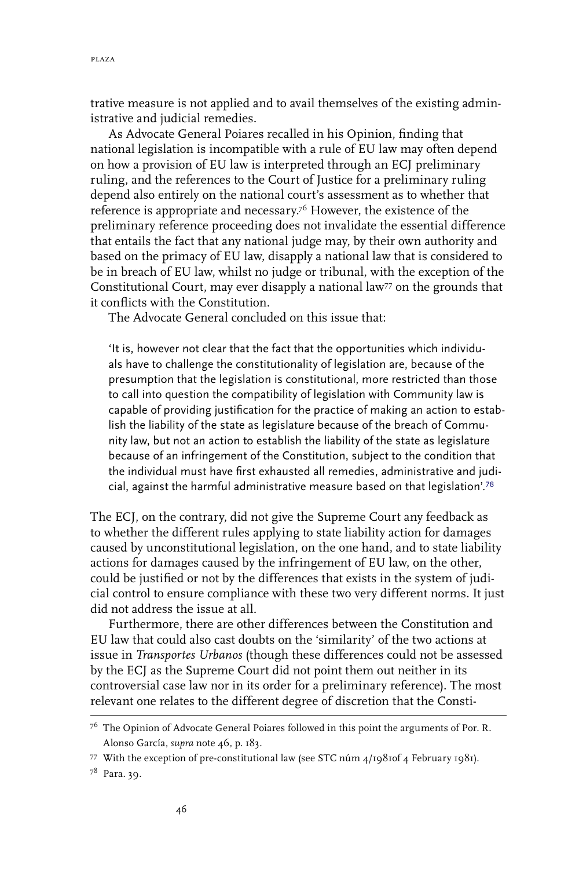trative measure is not applied and to avail themselves of the existing administrative and judicial remedies.

As Advocate General Poiares recalled in his Opinion, finding that national legislation is incompatible with a rule of EU law may often depend on how a provision of EU law is interpreted through an ECJ preliminary ruling, and the references to the Court of Justice for a preliminary ruling depend also entirely on the national court's assessment as to whether that reference is appropriate and necessary.76 However, the existence of the preliminary reference proceeding does not invalidate the essential difference that entails the fact that any national judge may, by their own authority and based on the primacy of EU law, disapply a national law that is considered to be in breach of EU law, whilst no judge or tribunal, with the exception of the Constitutional Court, may ever disapply a national law<sup>77</sup> on the grounds that it conflicts with the Constitution.

The Advocate General concluded on this issue that:

'It is, however not clear that the fact that the opportunities which individuals have to challenge the constitutionality of legislation are, because of the presumption that the legislation is constitutional, more restricted than those to call into question the compatibility of legislation with Community law is capable of providing justification for the practice of making an action to establish the liability of the state as legislature because of the breach of Community law, but not an action to establish the liability of the state as legislature because of an infringement of the Constitution, subject to the condition that the individual must have first exhausted all remedies, administrative and judicial, against the harmful administrative measure based on that legislation'.<sup>78</sup>

The ECJ, on the contrary, did not give the Supreme Court any feedback as to whether the different rules applying to state liability action for damages caused by unconstitutional legislation, on the one hand, and to state liability actions for damages caused by the infringement of EU law, on the other, could be justified or not by the differences that exists in the system of judicial control to ensure compliance with these two very different norms. It just did not address the issue at all.

Furthermore, there are other differences between the Constitution and EU law that could also cast doubts on the 'similarity' of the two actions at issue in *Transportes Urbanos* (though these differences could not be assessed by the ECJ as the Supreme Court did not point them out neither in its controversial case law nor in its order for a preliminary reference). The most relevant one relates to the different degree of discretion that the Consti-

<sup>&</sup>lt;sup>76</sup> The Opinion of Advocate General Poiares followed in this point the arguments of Por. R. Alonso García, *supra* note 46, p. 183.

<sup>77</sup> With the exception of pre-constitutional law (see STC núm  $4/19810f4$  February 1981).

<sup>78</sup> Para. 39.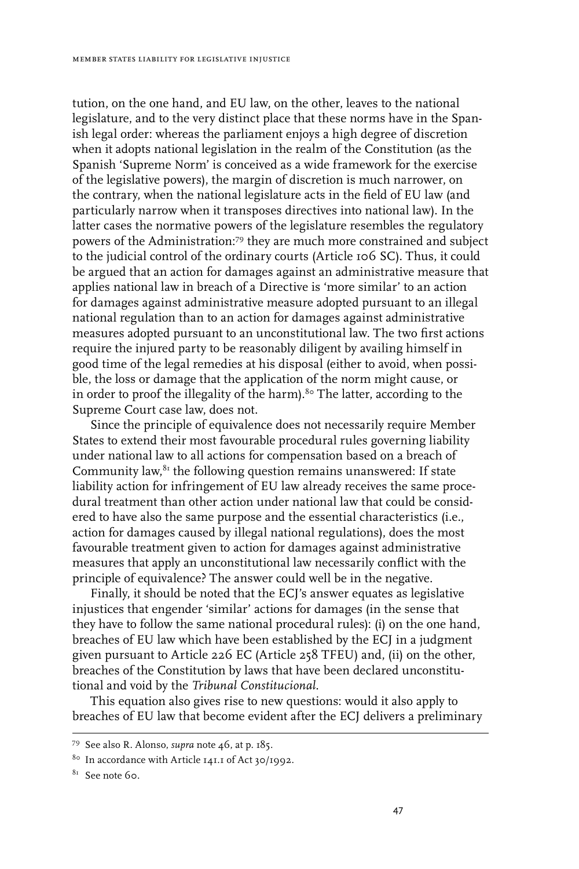tution, on the one hand, and EU law, on the other, leaves to the national legislature, and to the very distinct place that these norms have in the Spanish legal order: whereas the parliament enjoys a high degree of discretion when it adopts national legislation in the realm of the Constitution (as the Spanish 'Supreme Norm' is conceived as a wide framework for the exercise of the legislative powers), the margin of discretion is much narrower, on the contrary, when the national legislature acts in the field of EU law (and particularly narrow when it transposes directives into national law). In the latter cases the normative powers of the legislature resembles the regulatory powers of the Administration:79 they are much more constrained and subject to the judicial control of the ordinary courts (Article 106 SC). Thus, it could be argued that an action for damages against an administrative measure that applies national law in breach of a Directive is 'more similar' to an action for damages against administrative measure adopted pursuant to an illegal national regulation than to an action for damages against administrative measures adopted pursuant to an unconstitutional law. The two first actions require the injured party to be reasonably diligent by availing himself in good time of the legal remedies at his disposal (either to avoid, when possible, the loss or damage that the application of the norm might cause, or in order to proof the illegality of the harm).<sup>80</sup> The latter, according to the Supreme Court case law, does not.

Since the principle of equivalence does not necessarily require Member States to extend their most favourable procedural rules governing liability under national law to all actions for compensation based on a breach of Community law, ${}^{8_1}$  the following question remains unanswered: If state liability action for infringement of EU law already receives the same procedural treatment than other action under national law that could be considered to have also the same purpose and the essential characteristics (i.e., action for damages caused by illegal national regulations), does the most favourable treatment given to action for damages against administrative measures that apply an unconstitutional law necessarily conflict with the principle of equivalence? The answer could well be in the negative.

Finally, it should be noted that the ECJ's answer equates as legislative injustices that engender 'similar' actions for damages (in the sense that they have to follow the same national procedural rules): (i) on the one hand, breaches of EU law which have been established by the ECJ in a judgment given pursuant to Article 226 EC (Article 258 TFEU) and, (ii) on the other, breaches of the Constitution by laws that have been declared unconstitutional and void by the *Tribunal Constitucional*.

This equation also gives rise to new questions: would it also apply to breaches of EU law that become evident after the ECJ delivers a preliminary

<sup>79</sup> See also R. Alonso, *supra* note 46, at p. 185.

<sup>80</sup> In accordance with Article 141.1 of Act 30/1992.

<sup>8&</sup>lt;sup>81</sup> See note 60.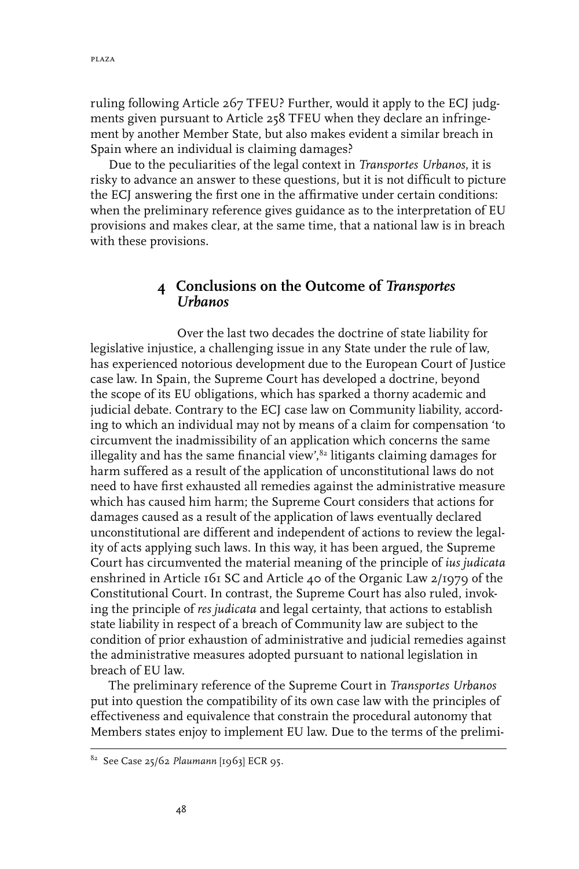ruling following Article 267 TFEU? Further, would it apply to the ECJ judgments given pursuant to Article 258 TFEU when they declare an infringement by another Member State, but also makes evident a similar breach in Spain where an individual is claiming damages?

Due to the peculiarities of the legal context in *Transportes Urbanos*, it is risky to advance an answer to these questions, but it is not difficult to picture the ECJ answering the first one in the affirmative under certain conditions: when the preliminary reference gives guidance as to the interpretation of EU provisions and makes clear, at the same time, that a national law is in breach with these provisions.

# **4 Conclusions on the Outcome of** *Transportes Urbanos*

Over the last two decades the doctrine of state liability for legislative injustice, a challenging issue in any State under the rule of law, has experienced notorious development due to the European Court of Justice case law. In Spain, the Supreme Court has developed a doctrine, beyond the scope of its EU obligations, which has sparked a thorny academic and judicial debate. Contrary to the ECJ case law on Community liability, according to which an individual may not by means of a claim for compensation 'to circumvent the inadmissibility of an application which concerns the same illegality and has the same financial view', $^{\delta_2}$  litigants claiming damages for harm suffered as a result of the application of unconstitutional laws do not need to have first exhausted all remedies against the administrative measure which has caused him harm; the Supreme Court considers that actions for damages caused as a result of the application of laws eventually declared unconstitutional are different and independent of actions to review the legality of acts applying such laws. In this way, it has been argued, the Supreme Court has circumvented the material meaning of the principle of *ius judicata* enshrined in Article 161 SC and Article 40 of the Organic Law 2/1979 of the Constitutional Court. In contrast, the Supreme Court has also ruled, invoking the principle of *res judicata* and legal certainty, that actions to establish state liability in respect of a breach of Community law are subject to the condition of prior exhaustion of administrative and judicial remedies against the administrative measures adopted pursuant to national legislation in breach of EU law.

The preliminary reference of the Supreme Court in *Transportes Urbanos* put into question the compatibility of its own case law with the principles of effectiveness and equivalence that constrain the procedural autonomy that Members states enjoy to implement EU law. Due to the terms of the prelimi-

<sup>82</sup> See Case 25/62 *Plaumann* [1963] ECR 95.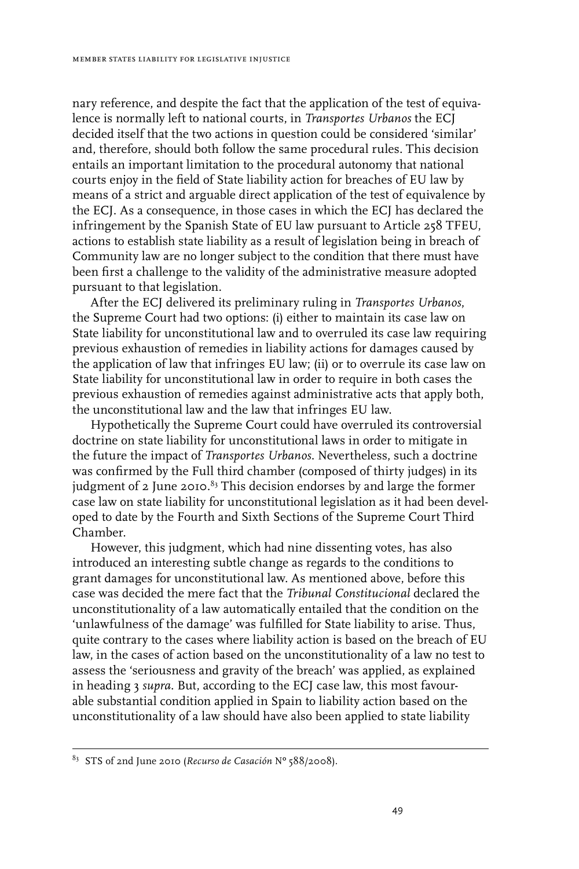nary reference, and despite the fact that the application of the test of equivalence is normally left to national courts, in *Transportes Urbanos* the ECJ decided itself that the two actions in question could be considered 'similar' and, therefore, should both follow the same procedural rules. This decision entails an important limitation to the procedural autonomy that national courts enjoy in the field of State liability action for breaches of EU law by means of a strict and arguable direct application of the test of equivalence by the ECJ. As a consequence, in those cases in which the ECJ has declared the infringement by the Spanish State of EU law pursuant to Article 258 TFEU, actions to establish state liability as a result of legislation being in breach of Community law are no longer subject to the condition that there must have been first a challenge to the validity of the administrative measure adopted pursuant to that legislation.

After the ECJ delivered its preliminary ruling in *Transportes Urbanos*, the Supreme Court had two options: (i) either to maintain its case law on State liability for unconstitutional law and to overruled its case law requiring previous exhaustion of remedies in liability actions for damages caused by the application of law that infringes EU law; (ii) or to overrule its case law on State liability for unconstitutional law in order to require in both cases the previous exhaustion of remedies against administrative acts that apply both, the unconstitutional law and the law that infringes EU law.

Hypothetically the Supreme Court could have overruled its controversial doctrine on state liability for unconstitutional laws in order to mitigate in the future the impact of *Transportes Urbanos*. Nevertheless, such a doctrine was confirmed by the Full third chamber (composed of thirty judges) in its judgment of 2 June 2010. $^{8_{3}}$  This decision endorses by and large the former case law on state liability for unconstitutional legislation as it had been developed to date by the Fourth and Sixth Sections of the Supreme Court Third Chamber.

However, this judgment, which had nine dissenting votes, has also introduced an interesting subtle change as regards to the conditions to grant damages for unconstitutional law. As mentioned above, before this case was decided the mere fact that the *Tribunal Constitucional* declared the unconstitutionality of a law automatically entailed that the condition on the 'unlawfulness of the damage' was fulfilled for State liability to arise. Thus, quite contrary to the cases where liability action is based on the breach of EU law, in the cases of action based on the unconstitutionality of a law no test to assess the 'seriousness and gravity of the breach' was applied, as explained in heading 3 *supra*. But, according to the ECJ case law, this most favourable substantial condition applied in Spain to liability action based on the unconstitutionality of a law should have also been applied to state liability

<sup>83</sup> STS of 2nd June 2010 (*Recurso de Casación* Nº 588/2008).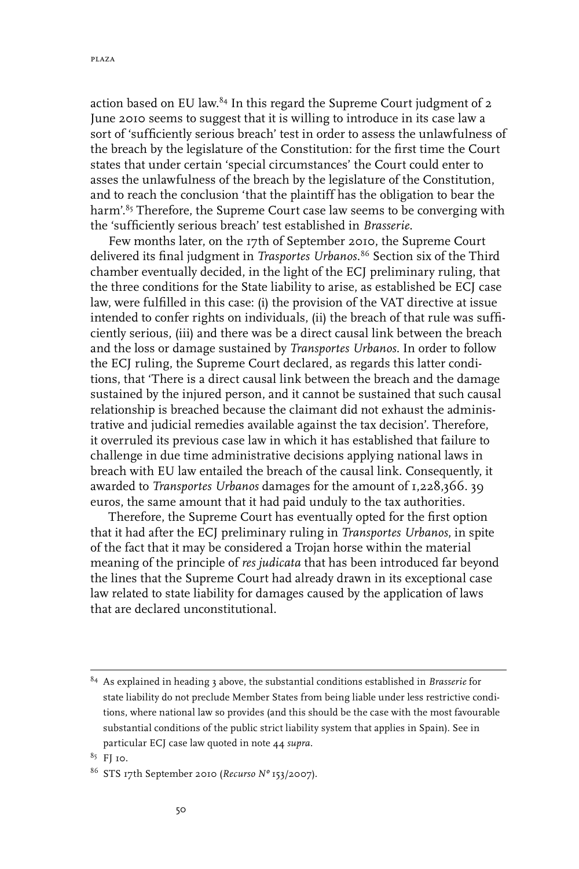action based on EU law.<sup>84</sup> In this regard the Supreme Court judgment of 2 June 2010 seems to suggest that it is willing to introduce in its case law a sort of 'sufficiently serious breach' test in order to assess the unlawfulness of the breach by the legislature of the Constitution: for the first time the Court states that under certain 'special circumstances' the Court could enter to asses the unlawfulness of the breach by the legislature of the Constitution, and to reach the conclusion 'that the plaintiff has the obligation to bear the harm'.<sup>85</sup> Therefore, the Supreme Court case law seems to be converging with the 'sufficiently serious breach' test established in *Brasserie*.

Few months later, on the 17th of September 2010, the Supreme Court delivered its final judgment in *Trasportes Urbanos.*<sup>86</sup> Section six of the Third chamber eventually decided, in the light of the ECJ preliminary ruling, that the three conditions for the State liability to arise, as established be ECJ case law, were fulfilled in this case: (i) the provision of the VAT directive at issue intended to confer rights on individuals, (ii) the breach of that rule was sufficiently serious, (iii) and there was be a direct causal link between the breach and the loss or damage sustained by *Transportes Urbanos*. In order to follow the ECJ ruling, the Supreme Court declared, as regards this latter conditions, that 'There is a direct causal link between the breach and the damage sustained by the injured person, and it cannot be sustained that such causal relationship is breached because the claimant did not exhaust the administrative and judicial remedies available against the tax decision'. Therefore, it overruled its previous case law in which it has established that failure to challenge in due time administrative decisions applying national laws in breach with EU law entailed the breach of the causal link. Consequently, it awarded to *Transportes Urbanos* damages for the amount of 1,228,366. 39 euros, the same amount that it had paid unduly to the tax authorities.

Therefore, the Supreme Court has eventually opted for the first option that it had after the ECJ preliminary ruling in *Transportes Urbanos*, in spite of the fact that it may be considered a Trojan horse within the material meaning of the principle of *res judicata* that has been introduced far beyond the lines that the Supreme Court had already drawn in its exceptional case law related to state liability for damages caused by the application of laws that are declared unconstitutional.

<sup>84</sup> As explained in heading 3 above, the substantial conditions established in *Brasserie* for state liability do not preclude Member States from being liable under less restrictive conditions, where national law so provides (and this should be the case with the most favourable substantial conditions of the public strict liability system that applies in Spain). See in particular ECJ case law quoted in note 44 *supra.*

<sup>85</sup> FJ 10.

<sup>86</sup> STS 17th September 2010 (*Recurso Nº* 153/2007).